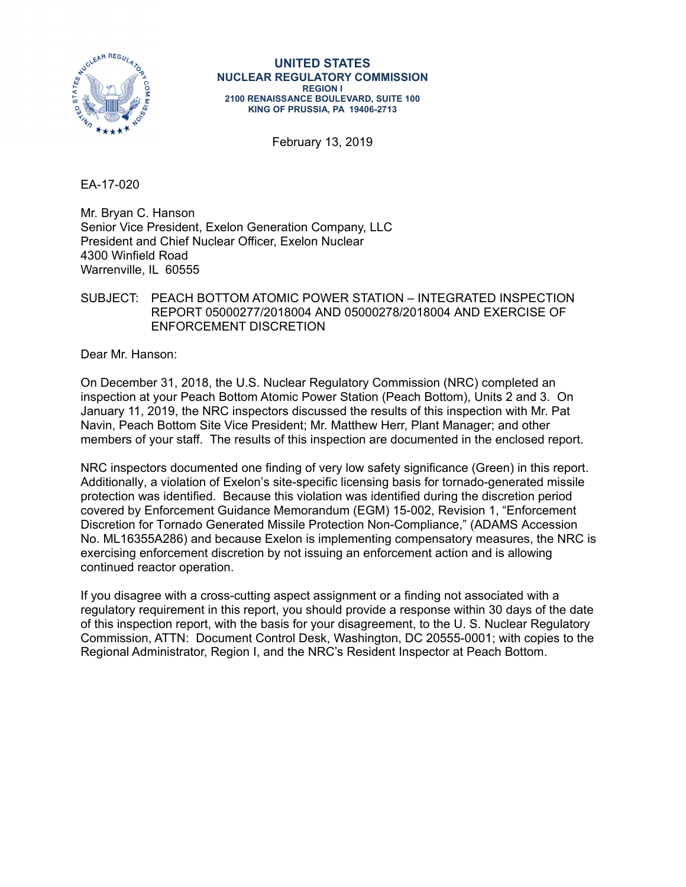

#### **UNITED STATES NUCLEAR REGULATORY COMMISSION REGION I 2100 RENAISSANCE BOULEVARD, SUITE 100 KING OF PRUSSIA, PA 19406-2713**

February 13, 2019

EA-17-020

Mr. Bryan C. Hanson Senior Vice President, Exelon Generation Company, LLC President and Chief Nuclear Officer, Exelon Nuclear 4300 Winfield Road Warrenville, IL 60555

# SUBJECT: PEACH BOTTOM ATOMIC POWER STATION – INTEGRATED INSPECTION REPORT 05000277/2018004 AND 05000278/2018004 AND EXERCISE OF ENFORCEMENT DISCRETION

Dear Mr. Hanson:

On December 31, 2018, the U.S. Nuclear Regulatory Commission (NRC) completed an inspection at your Peach Bottom Atomic Power Station (Peach Bottom), Units 2 and 3. On January 11, 2019, the NRC inspectors discussed the results of this inspection with Mr. Pat Navin, Peach Bottom Site Vice President; Mr. Matthew Herr, Plant Manager; and other members of your staff. The results of this inspection are documented in the enclosed report.

NRC inspectors documented one finding of very low safety significance (Green) in this report. Additionally, a violation of Exelon's site-specific licensing basis for tornado-generated missile protection was identified. Because this violation was identified during the discretion period covered by Enforcement Guidance Memorandum (EGM) 15-002, Revision 1, "Enforcement Discretion for Tornado Generated Missile Protection Non-Compliance," (ADAMS Accession No. ML16355A286) and because Exelon is implementing compensatory measures, the NRC is exercising enforcement discretion by not issuing an enforcement action and is allowing continued reactor operation.

If you disagree with a cross-cutting aspect assignment or a finding not associated with a regulatory requirement in this report, you should provide a response within 30 days of the date of this inspection report, with the basis for your disagreement, to the U. S. Nuclear Regulatory Commission, ATTN: Document Control Desk, Washington, DC 20555-0001; with copies to the Regional Administrator, Region I, and the NRC's Resident Inspector at Peach Bottom.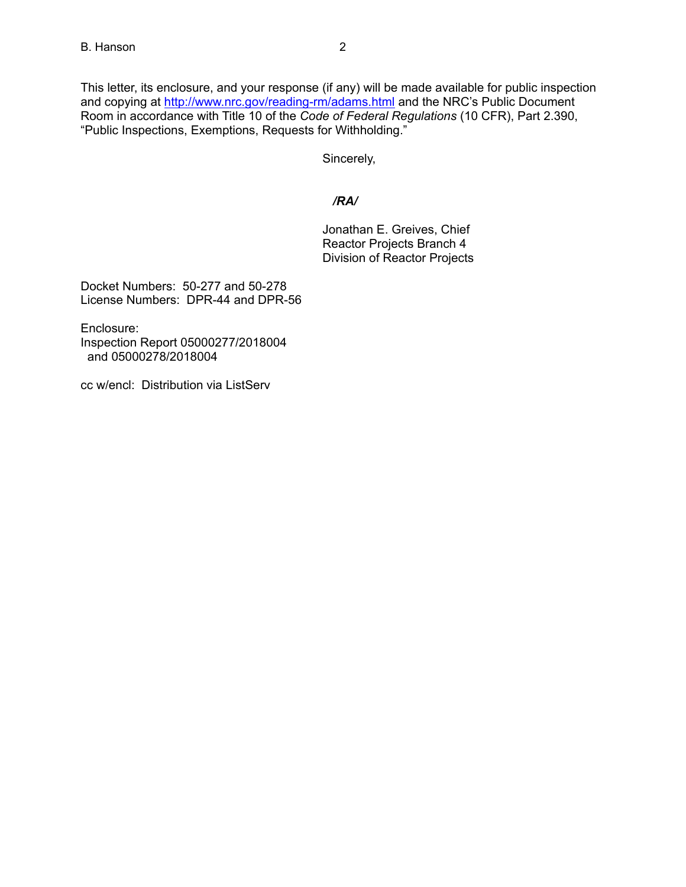This letter, its enclosure, and your response (if any) will be made available for public inspection and copying at http://www.nrc.gov/reading-rm/adams.html and the NRC's Public Document Room in accordance with Title 10 of the *Code of Federal Regulations* (10 CFR), Part 2.390, "Public Inspections, Exemptions, Requests for Withholding."

Sincerely,

# */RA/*

Jonathan E. Greives, Chief Reactor Projects Branch 4 Division of Reactor Projects

Docket Numbers: 50-277 and 50-278 License Numbers: DPR-44 and DPR-56

Enclosure: Inspection Report 05000277/2018004 and 05000278/2018004

cc w/encl: Distribution via ListServ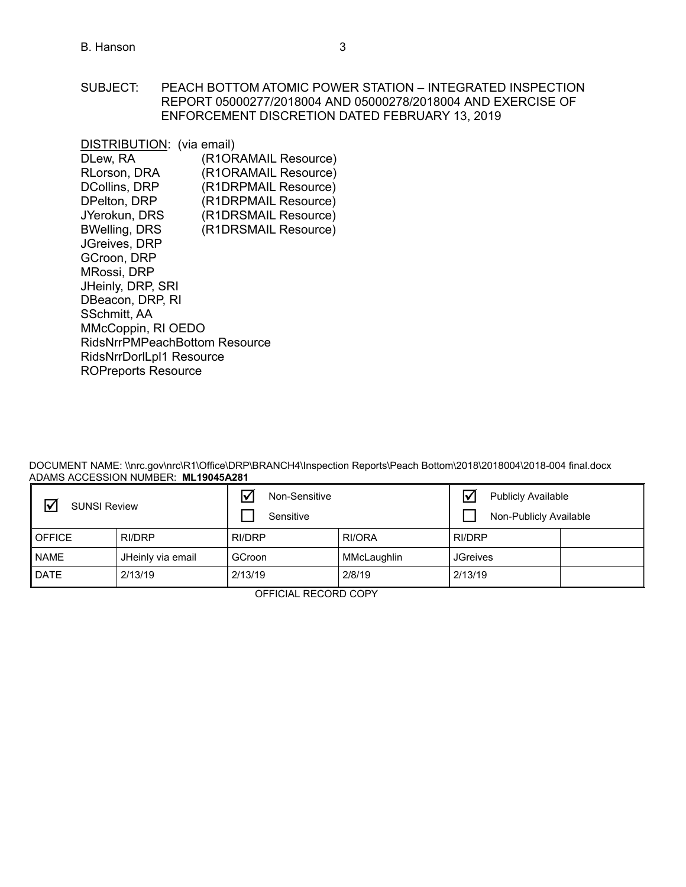### SUBJECT: PEACH BOTTOM ATOMIC POWER STATION – INTEGRATED INSPECTION REPORT 05000277/2018004 AND 05000278/2018004 AND EXERCISE OF ENFORCEMENT DISCRETION DATED FEBRUARY 13, 2019

| DISTRIBUTION: (via email)            |                      |  |
|--------------------------------------|----------------------|--|
| DLew, RA                             | (R1ORAMAIL Resource) |  |
| RLorson, DRA                         | (R1ORAMAIL Resource) |  |
| <b>DCollins, DRP</b>                 | (R1DRPMAIL Resource) |  |
| DPelton, DRP                         | (R1DRPMAIL Resource) |  |
| JYerokun, DRS                        | (R1DRSMAIL Resource) |  |
| <b>BWelling, DRS</b>                 | (R1DRSMAIL Resource) |  |
| JGreives, DRP                        |                      |  |
| GCroon, DRP                          |                      |  |
| MRossi, DRP                          |                      |  |
| JHeinly, DRP, SRI                    |                      |  |
| DBeacon, DRP, RI                     |                      |  |
| SSchmitt, AA                         |                      |  |
| MMcCoppin, RI OEDO                   |                      |  |
| <b>RidsNrrPMPeachBottom Resource</b> |                      |  |
| RidsNrrDorlLpl1 Resource             |                      |  |
| <b>ROPreports Resource</b>           |                      |  |

DOCUMENT NAME: \\nrc.gov\nrc\R1\Office\DRP\BRANCH4\Inspection Reports\Peach Bottom\2018\2018004\2018-004 final.docx ADAMS ACCESSION NUMBER: **ML19045A281**

| <b>SUNSI Review</b> |                   | $\overline{\mathsf{v}}$<br>Non-Sensitive<br>Sensitive |             | <b>Publicly Available</b><br>Non-Publicly Available |  |
|---------------------|-------------------|-------------------------------------------------------|-------------|-----------------------------------------------------|--|
| <b>OFFICE</b>       | RI/DRP            | <b>RI/DRP</b>                                         | RI/ORA      | <b>RI/DRP</b>                                       |  |
| <b>NAME</b>         | JHeinly via email | GCroon                                                | MMcLaughlin | <b>JGreives</b>                                     |  |
| <b>DATE</b>         | 2/13/19           | 2/13/19                                               | 2/8/19      | 2/13/19                                             |  |

OFFICIAL RECORD COPY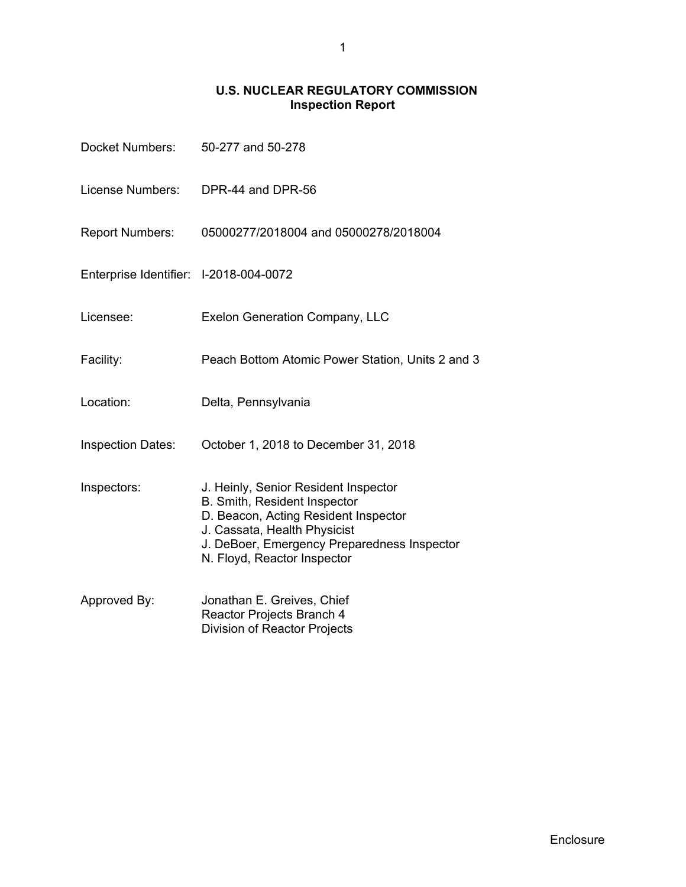# **U.S. NUCLEAR REGULATORY COMMISSION Inspection Report**

| Docket Numbers:                        | 50-277 and 50-278                                                                                                                                                                                                          |
|----------------------------------------|----------------------------------------------------------------------------------------------------------------------------------------------------------------------------------------------------------------------------|
| License Numbers:                       | DPR-44 and DPR-56                                                                                                                                                                                                          |
| <b>Report Numbers:</b>                 | 05000277/2018004 and 05000278/2018004                                                                                                                                                                                      |
| Enterprise Identifier: I-2018-004-0072 |                                                                                                                                                                                                                            |
| Licensee:                              | <b>Exelon Generation Company, LLC</b>                                                                                                                                                                                      |
| Facility:                              | Peach Bottom Atomic Power Station, Units 2 and 3                                                                                                                                                                           |
| Location:                              | Delta, Pennsylvania                                                                                                                                                                                                        |
| <b>Inspection Dates:</b>               | October 1, 2018 to December 31, 2018                                                                                                                                                                                       |
| Inspectors:                            | J. Heinly, Senior Resident Inspector<br>B. Smith, Resident Inspector<br>D. Beacon, Acting Resident Inspector<br>J. Cassata, Health Physicist<br>J. DeBoer, Emergency Preparedness Inspector<br>N. Floyd, Reactor Inspector |
| Approved By:                           | Jonathan E. Greives, Chief<br>Reactor Projects Branch 4<br>Division of Reactor Projects                                                                                                                                    |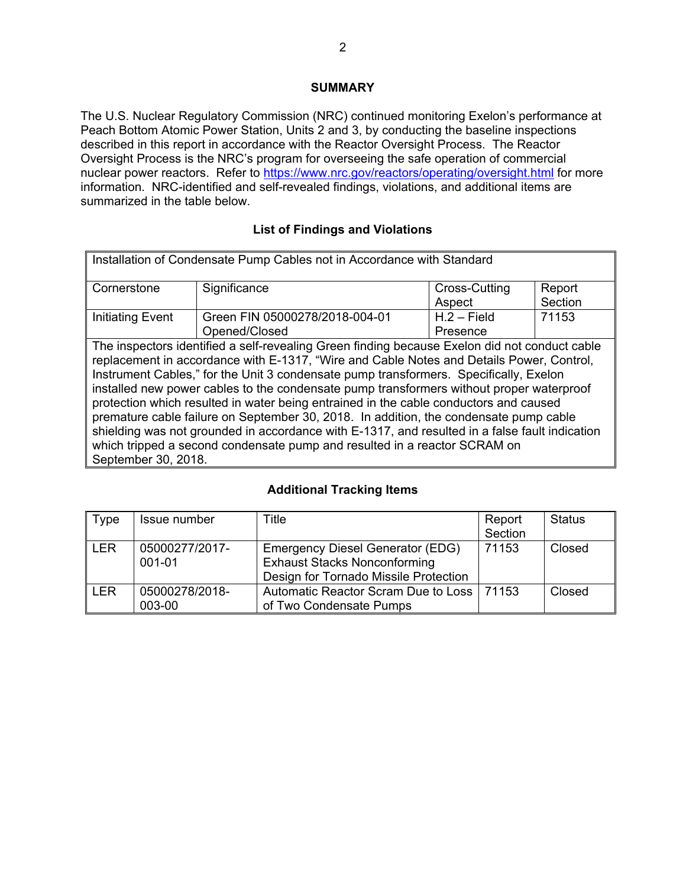# **SUMMARY**

The U.S. Nuclear Regulatory Commission (NRC) continued monitoring Exelon's performance at Peach Bottom Atomic Power Station, Units 2 and 3, by conducting the baseline inspections described in this report in accordance with the Reactor Oversight Process. The Reactor Oversight Process is the NRC's program for overseeing the safe operation of commercial nuclear power reactors. Refer to https://www.nrc.gov/reactors/operating/oversight.html for more information. NRC-identified and self-revealed findings, violations, and additional items are summarized in the table below.

# **List of Findings and Violations**

| Installation of Condensate Pump Cables not in Accordance with Standard |                                                                                                                                                                                                                                                                                                                                                                                                                                                                                                                                                                                                                                                                                                                                                 |               |         |
|------------------------------------------------------------------------|-------------------------------------------------------------------------------------------------------------------------------------------------------------------------------------------------------------------------------------------------------------------------------------------------------------------------------------------------------------------------------------------------------------------------------------------------------------------------------------------------------------------------------------------------------------------------------------------------------------------------------------------------------------------------------------------------------------------------------------------------|---------------|---------|
| Cornerstone                                                            | Significance                                                                                                                                                                                                                                                                                                                                                                                                                                                                                                                                                                                                                                                                                                                                    | Cross-Cutting | Report  |
|                                                                        |                                                                                                                                                                                                                                                                                                                                                                                                                                                                                                                                                                                                                                                                                                                                                 | Aspect        | Section |
| Initiating Event                                                       | Green FIN 05000278/2018-004-01                                                                                                                                                                                                                                                                                                                                                                                                                                                                                                                                                                                                                                                                                                                  | $H.2 - Field$ | 71153   |
|                                                                        | Opened/Closed                                                                                                                                                                                                                                                                                                                                                                                                                                                                                                                                                                                                                                                                                                                                   | Presence      |         |
| September 30, 2018.                                                    | The inspectors identified a self-revealing Green finding because Exelon did not conduct cable<br>replacement in accordance with E-1317, "Wire and Cable Notes and Details Power, Control,<br>Instrument Cables," for the Unit 3 condensate pump transformers. Specifically, Exelon<br>installed new power cables to the condensate pump transformers without proper waterproof<br>protection which resulted in water being entrained in the cable conductors and caused<br>premature cable failure on September 30, 2018. In addition, the condensate pump cable<br>shielding was not grounded in accordance with E-1317, and resulted in a false fault indication<br>which tripped a second condensate pump and resulted in a reactor SCRAM on |               |         |

# **Additional Tracking Items**

| Type       | Issue number             | Title                                                                                                            | Report<br>Section | <b>Status</b> |
|------------|--------------------------|------------------------------------------------------------------------------------------------------------------|-------------------|---------------|
| <b>LER</b> | 05000277/2017-<br>001-01 | Emergency Diesel Generator (EDG)<br><b>Exhaust Stacks Nonconforming</b><br>Design for Tornado Missile Protection | 71153             | Closed        |
| <b>LER</b> | 05000278/2018-<br>003-00 | Automatic Reactor Scram Due to Loss<br>of Two Condensate Pumps                                                   | 71153             | Closed        |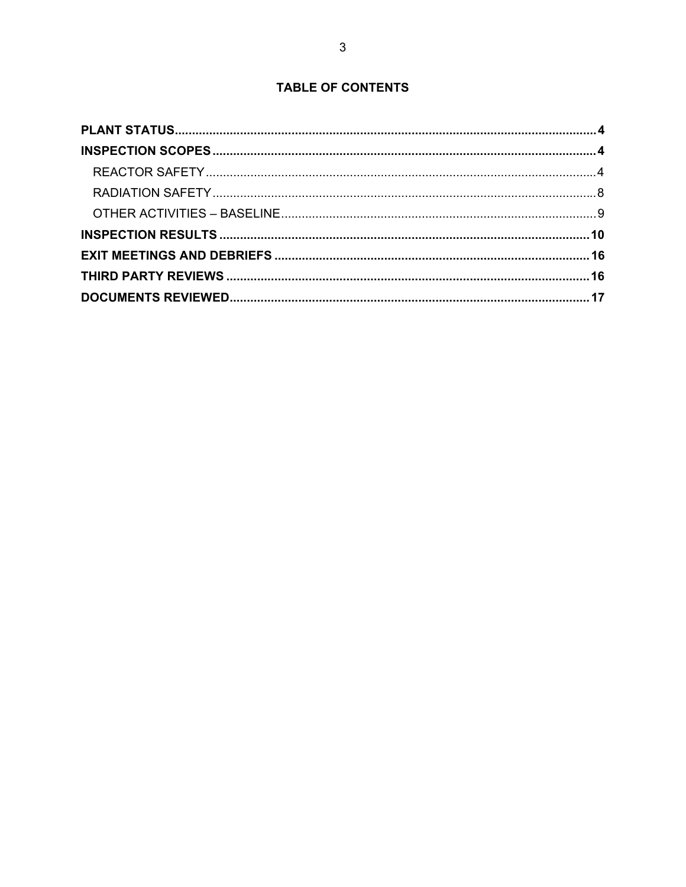# **TABLE OF CONTENTS**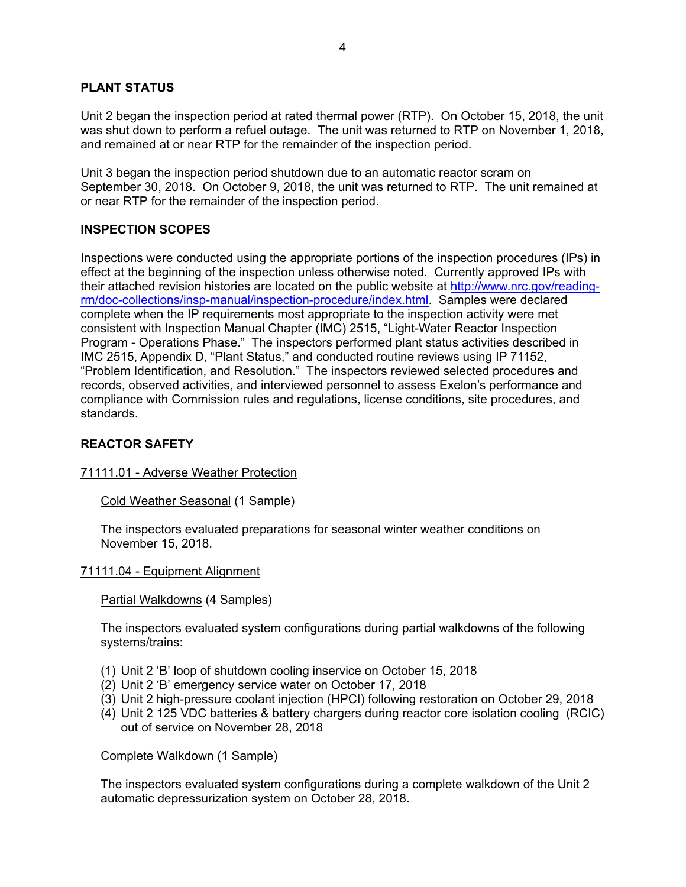# **PLANT STATUS**

Unit 2 began the inspection period at rated thermal power (RTP). On October 15, 2018, the unit was shut down to perform a refuel outage. The unit was returned to RTP on November 1, 2018, and remained at or near RTP for the remainder of the inspection period.

Unit 3 began the inspection period shutdown due to an automatic reactor scram on September 30, 2018. On October 9, 2018, the unit was returned to RTP. The unit remained at or near RTP for the remainder of the inspection period.

#### **INSPECTION SCOPES**

Inspections were conducted using the appropriate portions of the inspection procedures (IPs) in effect at the beginning of the inspection unless otherwise noted. Currently approved IPs with their attached revision histories are located on the public website at http://www.nrc.gov/readingrm/doc-collections/insp-manual/inspection-procedure/index.html. Samples were declared complete when the IP requirements most appropriate to the inspection activity were met consistent with Inspection Manual Chapter (IMC) 2515, "Light-Water Reactor Inspection Program - Operations Phase." The inspectors performed plant status activities described in IMC 2515, Appendix D, "Plant Status," and conducted routine reviews using IP 71152, "Problem Identification, and Resolution." The inspectors reviewed selected procedures and records, observed activities, and interviewed personnel to assess Exelon's performance and compliance with Commission rules and regulations, license conditions, site procedures, and standards.

#### **REACTOR SAFETY**

#### 71111.01 - Adverse Weather Protection

Cold Weather Seasonal (1 Sample)

The inspectors evaluated preparations for seasonal winter weather conditions on November 15, 2018.

#### 71111.04 - Equipment Alignment

Partial Walkdowns (4 Samples)

The inspectors evaluated system configurations during partial walkdowns of the following systems/trains:

- (1) Unit 2 'B' loop of shutdown cooling inservice on October 15, 2018
- (2) Unit 2 'B' emergency service water on October 17, 2018
- (3) Unit 2 high-pressure coolant injection (HPCI) following restoration on October 29, 2018
- (4) Unit 2 125 VDC batteries & battery chargers during reactor core isolation cooling (RCIC) out of service on November 28, 2018

Complete Walkdown (1 Sample)

The inspectors evaluated system configurations during a complete walkdown of the Unit 2 automatic depressurization system on October 28, 2018.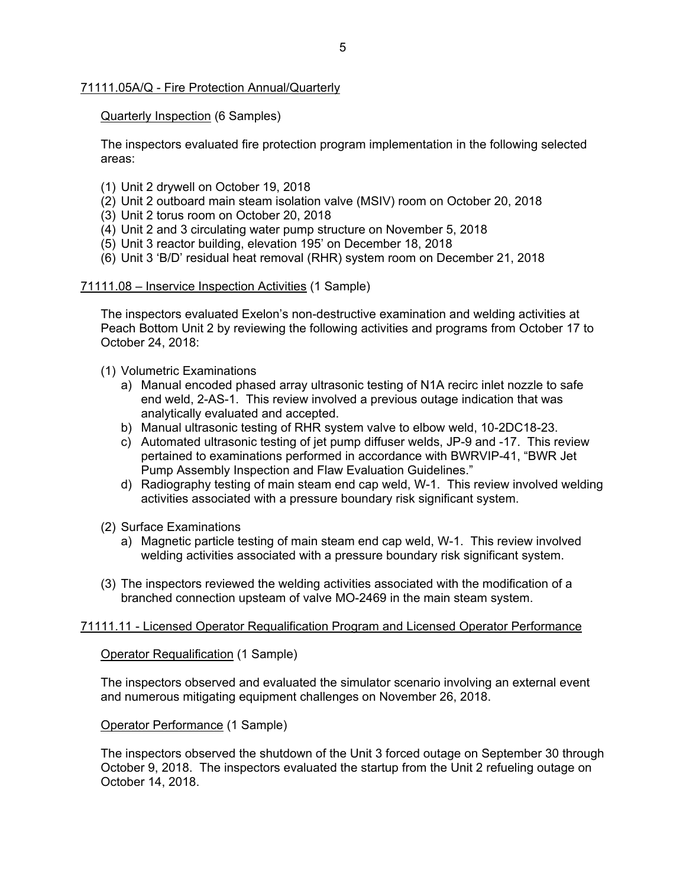#### 71111.05A/Q - Fire Protection Annual/Quarterly

### Quarterly Inspection (6 Samples)

The inspectors evaluated fire protection program implementation in the following selected areas:

- (1) Unit 2 drywell on October 19, 2018
- (2) Unit 2 outboard main steam isolation valve (MSIV) room on October 20, 2018
- (3) Unit 2 torus room on October 20, 2018
- (4) Unit 2 and 3 circulating water pump structure on November 5, 2018
- (5) Unit 3 reactor building, elevation 195' on December 18, 2018
- (6) Unit 3 'B/D' residual heat removal (RHR) system room on December 21, 2018

#### 71111.08 – Inservice Inspection Activities (1 Sample)

The inspectors evaluated Exelon's non-destructive examination and welding activities at Peach Bottom Unit 2 by reviewing the following activities and programs from October 17 to October 24, 2018:

- (1) Volumetric Examinations
	- a) Manual encoded phased array ultrasonic testing of N1A recirc inlet nozzle to safe end weld, 2-AS-1. This review involved a previous outage indication that was analytically evaluated and accepted.
	- b) Manual ultrasonic testing of RHR system valve to elbow weld, 10-2DC18-23.
	- c) Automated ultrasonic testing of jet pump diffuser welds, JP-9 and -17. This review pertained to examinations performed in accordance with BWRVIP-41, "BWR Jet Pump Assembly Inspection and Flaw Evaluation Guidelines."
	- d) Radiography testing of main steam end cap weld, W-1. This review involved welding activities associated with a pressure boundary risk significant system.
- (2) Surface Examinations
	- a) Magnetic particle testing of main steam end cap weld, W-1. This review involved welding activities associated with a pressure boundary risk significant system.
- (3) The inspectors reviewed the welding activities associated with the modification of a branched connection upsteam of valve MO-2469 in the main steam system.

# 71111.11 - Licensed Operator Requalification Program and Licensed Operator Performance

Operator Requalification (1 Sample)

The inspectors observed and evaluated the simulator scenario involving an external event and numerous mitigating equipment challenges on November 26, 2018.

Operator Performance (1 Sample)

The inspectors observed the shutdown of the Unit 3 forced outage on September 30 through October 9, 2018. The inspectors evaluated the startup from the Unit 2 refueling outage on October 14, 2018.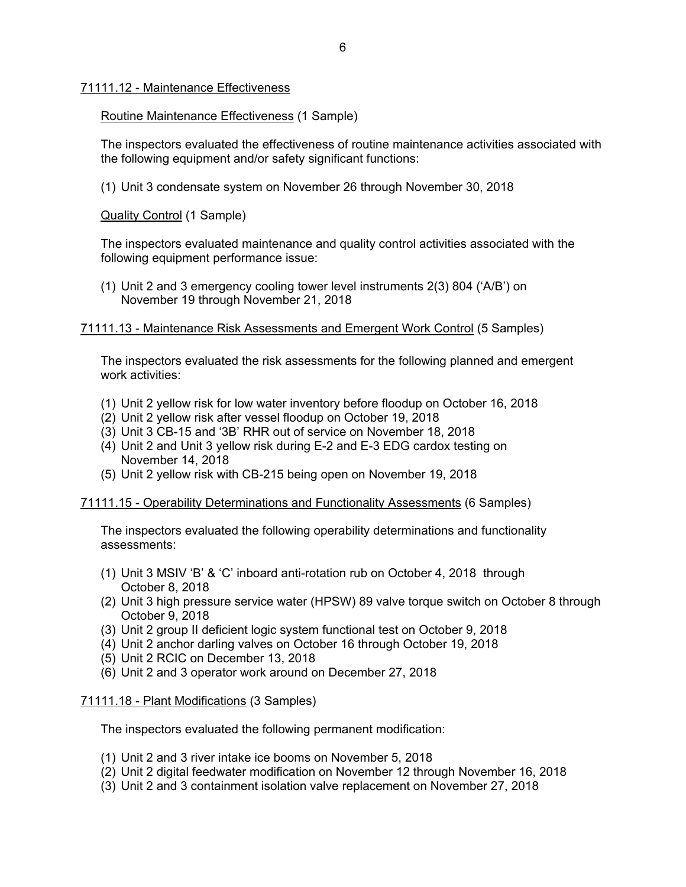#### 71111.12 - Maintenance Effectiveness

#### Routine Maintenance Effectiveness (1 Sample)

The inspectors evaluated the effectiveness of routine maintenance activities associated with the following equipment and/or safety significant functions:

(1) Unit 3 condensate system on November 26 through November 30, 2018

Quality Control (1 Sample)

The inspectors evaluated maintenance and quality control activities associated with the following equipment performance issue:

(1) Unit 2 and 3 emergency cooling tower level instruments 2(3) 804 ('A/B') on November 19 through November 21, 2018

### 71111.13 - Maintenance Risk Assessments and Emergent Work Control (5 Samples)

The inspectors evaluated the risk assessments for the following planned and emergent work activities:

- (1) Unit 2 yellow risk for low water inventory before floodup on October 16, 2018
- (2) Unit 2 yellow risk after vessel floodup on October 19, 2018
- (3) Unit 3 CB-15 and '3B' RHR out of service on November 18, 2018
- (4) Unit 2 and Unit 3 yellow risk during E-2 and E-3 EDG cardox testing on November 14, 2018
- (5) Unit 2 yellow risk with CB-215 being open on November 19, 2018

#### 71111.15 - Operability Determinations and Functionality Assessments (6 Samples)

The inspectors evaluated the following operability determinations and functionality assessments:

- (1) Unit 3 MSIV 'B' & 'C' inboard anti-rotation rub on October 4, 2018 through October 8, 2018
- (2) Unit 3 high pressure service water (HPSW) 89 valve torque switch on October 8 through October 9, 2018
- (3) Unit 2 group II deficient logic system functional test on October 9, 2018
- (4) Unit 2 anchor darling valves on October 16 through October 19, 2018
- (5) Unit 2 RCIC on December 13, 2018
- (6) Unit 2 and 3 operator work around on December 27, 2018

#### 71111.18 - Plant Modifications (3 Samples)

The inspectors evaluated the following permanent modification:

- (1) Unit 2 and 3 river intake ice booms on November 5, 2018
- (2) Unit 2 digital feedwater modification on November 12 through November 16, 2018
- (3) Unit 2 and 3 containment isolation valve replacement on November 27, 2018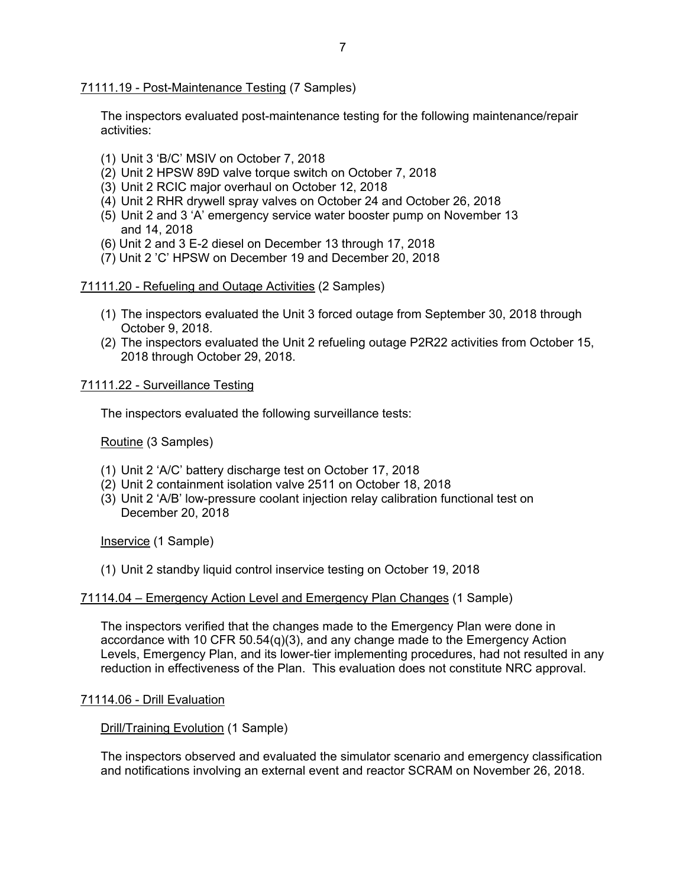71111.19 - Post-Maintenance Testing (7 Samples)

The inspectors evaluated post-maintenance testing for the following maintenance/repair activities:

- (1) Unit 3 'B/C' MSIV on October 7, 2018
- (2) Unit 2 HPSW 89D valve torque switch on October 7, 2018
- (3) Unit 2 RCIC major overhaul on October 12, 2018
- (4) Unit 2 RHR drywell spray valves on October 24 and October 26, 2018
- (5) Unit 2 and 3 'A' emergency service water booster pump on November 13 and 14, 2018
- (6) Unit 2 and 3 E-2 diesel on December 13 through 17, 2018
- (7) Unit 2 'C' HPSW on December 19 and December 20, 2018

#### 71111.20 - Refueling and Outage Activities (2 Samples)

- (1) The inspectors evaluated the Unit 3 forced outage from September 30, 2018 through October 9, 2018.
- (2) The inspectors evaluated the Unit 2 refueling outage P2R22 activities from October 15, 2018 through October 29, 2018.

#### 71111.22 - Surveillance Testing

The inspectors evaluated the following surveillance tests:

Routine (3 Samples)

- (1) Unit 2 'A/C' battery discharge test on October 17, 2018
- (2) Unit 2 containment isolation valve 2511 on October 18, 2018
- (3) Unit 2 'A/B' low-pressure coolant injection relay calibration functional test on December 20, 2018

Inservice (1 Sample)

(1) Unit 2 standby liquid control inservice testing on October 19, 2018

#### 71114.04 – Emergency Action Level and Emergency Plan Changes (1 Sample)

The inspectors verified that the changes made to the Emergency Plan were done in accordance with 10 CFR 50.54(q)(3), and any change made to the Emergency Action Levels, Emergency Plan, and its lower-tier implementing procedures, had not resulted in any reduction in effectiveness of the Plan. This evaluation does not constitute NRC approval.

#### 71114.06 - Drill Evaluation

#### Drill/Training Evolution (1 Sample)

The inspectors observed and evaluated the simulator scenario and emergency classification and notifications involving an external event and reactor SCRAM on November 26, 2018.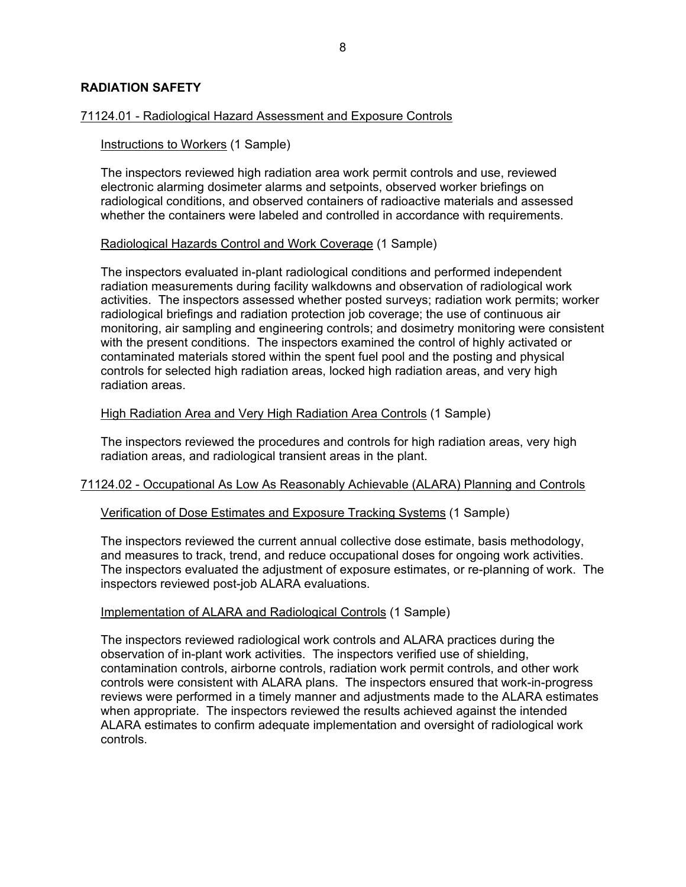### **RADIATION SAFETY**

#### 71124.01 - Radiological Hazard Assessment and Exposure Controls

#### Instructions to Workers (1 Sample)

The inspectors reviewed high radiation area work permit controls and use, reviewed electronic alarming dosimeter alarms and setpoints, observed worker briefings on radiological conditions, and observed containers of radioactive materials and assessed whether the containers were labeled and controlled in accordance with requirements.

#### Radiological Hazards Control and Work Coverage (1 Sample)

The inspectors evaluated in-plant radiological conditions and performed independent radiation measurements during facility walkdowns and observation of radiological work activities. The inspectors assessed whether posted surveys; radiation work permits; worker radiological briefings and radiation protection job coverage; the use of continuous air monitoring, air sampling and engineering controls; and dosimetry monitoring were consistent with the present conditions. The inspectors examined the control of highly activated or contaminated materials stored within the spent fuel pool and the posting and physical controls for selected high radiation areas, locked high radiation areas, and very high radiation areas.

#### High Radiation Area and Very High Radiation Area Controls (1 Sample)

The inspectors reviewed the procedures and controls for high radiation areas, very high radiation areas, and radiological transient areas in the plant.

#### 71124.02 - Occupational As Low As Reasonably Achievable (ALARA) Planning and Controls

#### Verification of Dose Estimates and Exposure Tracking Systems (1 Sample)

The inspectors reviewed the current annual collective dose estimate, basis methodology, and measures to track, trend, and reduce occupational doses for ongoing work activities. The inspectors evaluated the adjustment of exposure estimates, or re-planning of work. The inspectors reviewed post-job ALARA evaluations.

#### Implementation of ALARA and Radiological Controls (1 Sample)

The inspectors reviewed radiological work controls and ALARA practices during the observation of in-plant work activities. The inspectors verified use of shielding, contamination controls, airborne controls, radiation work permit controls, and other work controls were consistent with ALARA plans. The inspectors ensured that work-in-progress reviews were performed in a timely manner and adjustments made to the ALARA estimates when appropriate. The inspectors reviewed the results achieved against the intended ALARA estimates to confirm adequate implementation and oversight of radiological work controls.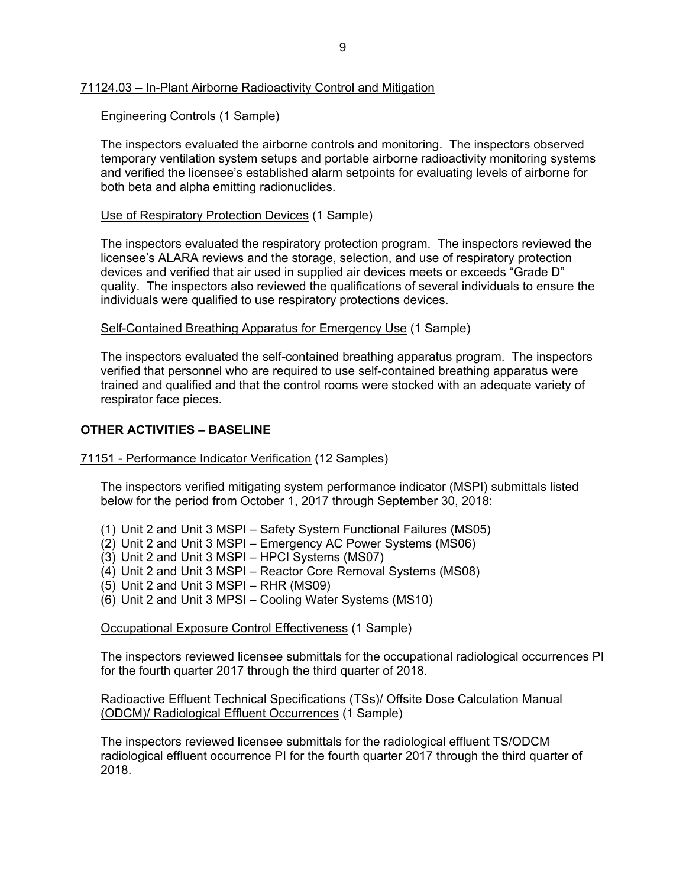### 71124.03 – In-Plant Airborne Radioactivity Control and Mitigation

## Engineering Controls (1 Sample)

The inspectors evaluated the airborne controls and monitoring. The inspectors observed temporary ventilation system setups and portable airborne radioactivity monitoring systems and verified the licensee's established alarm setpoints for evaluating levels of airborne for both beta and alpha emitting radionuclides.

#### Use of Respiratory Protection Devices (1 Sample)

The inspectors evaluated the respiratory protection program. The inspectors reviewed the licensee's ALARA reviews and the storage, selection, and use of respiratory protection devices and verified that air used in supplied air devices meets or exceeds "Grade D" quality. The inspectors also reviewed the qualifications of several individuals to ensure the individuals were qualified to use respiratory protections devices.

### Self-Contained Breathing Apparatus for Emergency Use (1 Sample)

The inspectors evaluated the self-contained breathing apparatus program. The inspectors verified that personnel who are required to use self-contained breathing apparatus were trained and qualified and that the control rooms were stocked with an adequate variety of respirator face pieces.

# **OTHER ACTIVITIES – BASELINE**

#### 71151 - Performance Indicator Verification (12 Samples)

The inspectors verified mitigating system performance indicator (MSPI) submittals listed below for the period from October 1, 2017 through September 30, 2018:

- (1) Unit 2 and Unit 3 MSPI Safety System Functional Failures (MS05)
- (2) Unit 2 and Unit 3 MSPI Emergency AC Power Systems (MS06)
- (3) Unit 2 and Unit 3 MSPI HPCI Systems (MS07)
- (4) Unit 2 and Unit 3 MSPI Reactor Core Removal Systems (MS08)
- (5) Unit 2 and Unit 3 MSPI RHR (MS09)
- (6) Unit 2 and Unit 3 MPSI Cooling Water Systems (MS10)

Occupational Exposure Control Effectiveness (1 Sample)

The inspectors reviewed licensee submittals for the occupational radiological occurrences PI for the fourth quarter 2017 through the third quarter of 2018.

### Radioactive Effluent Technical Specifications (TSs)/ Offsite Dose Calculation Manual (ODCM)/ Radiological Effluent Occurrences (1 Sample)

The inspectors reviewed licensee submittals for the radiological effluent TS/ODCM radiological effluent occurrence PI for the fourth quarter 2017 through the third quarter of 2018.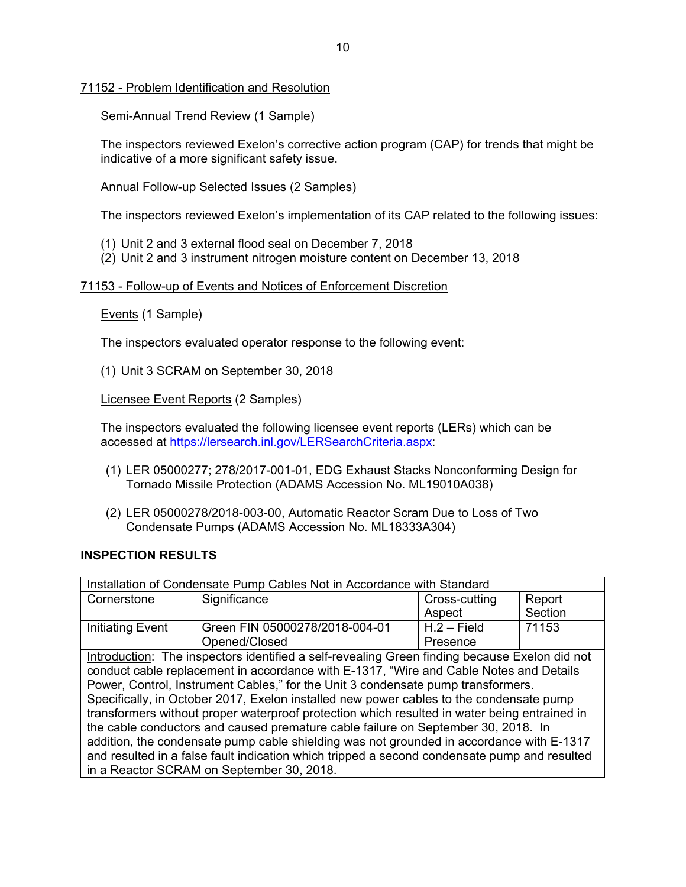71152 - Problem Identification and Resolution

Semi-Annual Trend Review (1 Sample)

The inspectors reviewed Exelon's corrective action program (CAP) for trends that might be indicative of a more significant safety issue.

Annual Follow-up Selected Issues (2 Samples)

The inspectors reviewed Exelon's implementation of its CAP related to the following issues:

- (1) Unit 2 and 3 external flood seal on December 7, 2018
- (2) Unit 2 and 3 instrument nitrogen moisture content on December 13, 2018

### 71153 - Follow-up of Events and Notices of Enforcement Discretion

Events (1 Sample)

The inspectors evaluated operator response to the following event:

(1) Unit 3 SCRAM on September 30, 2018

Licensee Event Reports (2 Samples)

The inspectors evaluated the following licensee event reports (LERs) which can be accessed at https://lersearch.inl.gov/LERSearchCriteria.aspx:

- (1) LER 05000277; 278/2017-001-01, EDG Exhaust Stacks Nonconforming Design for Tornado Missile Protection (ADAMS Accession No. ML19010A038)
- (2) LER 05000278/2018-003-00, Automatic Reactor Scram Due to Loss of Two Condensate Pumps (ADAMS Accession No. ML18333A304)

#### **INSPECTION RESULTS**

| Installation of Condensate Pump Cables Not in Accordance with Standard                       |                                                                                               |               |         |
|----------------------------------------------------------------------------------------------|-----------------------------------------------------------------------------------------------|---------------|---------|
| Cornerstone                                                                                  | Significance                                                                                  | Cross-cutting | Report  |
|                                                                                              |                                                                                               | Aspect        | Section |
| <b>Initiating Event</b>                                                                      | Green FIN 05000278/2018-004-01                                                                | $H.2 - Field$ | 71153   |
|                                                                                              | Opened/Closed                                                                                 | Presence      |         |
|                                                                                              | Introduction: The inspectors identified a self-revealing Green finding because Exelon did not |               |         |
|                                                                                              | conduct cable replacement in accordance with E-1317, "Wire and Cable Notes and Details        |               |         |
| Power, Control, Instrument Cables," for the Unit 3 condensate pump transformers.             |                                                                                               |               |         |
| Specifically, in October 2017, Exelon installed new power cables to the condensate pump      |                                                                                               |               |         |
| transformers without proper waterproof protection which resulted in water being entrained in |                                                                                               |               |         |
| the cable conductors and caused premature cable failure on September 30, 2018. In            |                                                                                               |               |         |
| addition, the condensate pump cable shielding was not grounded in accordance with E-1317     |                                                                                               |               |         |
| and resulted in a false fault indication which tripped a second condensate pump and resulted |                                                                                               |               |         |
| in a Reactor SCRAM on September 30, 2018.                                                    |                                                                                               |               |         |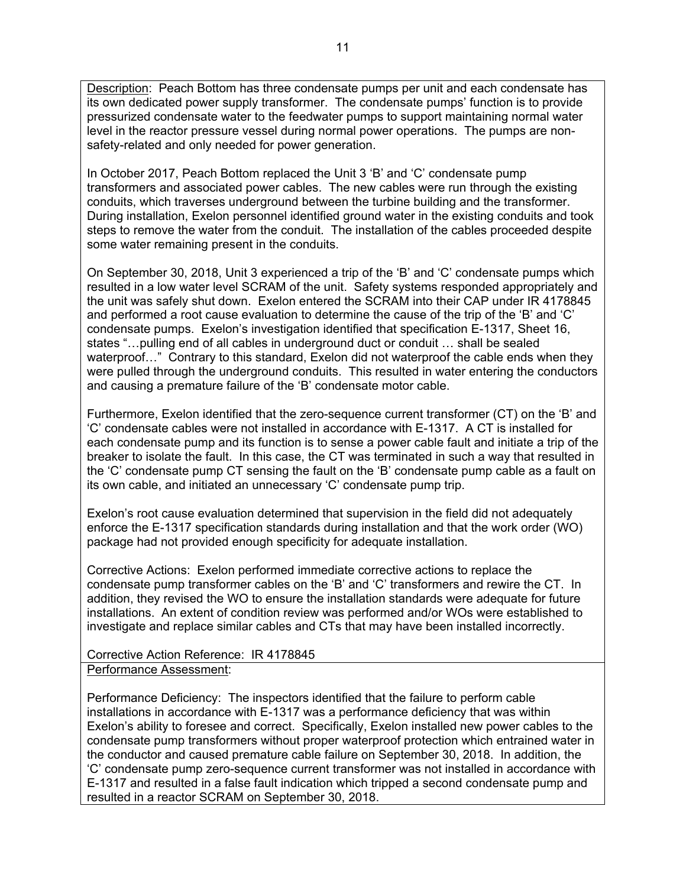Description: Peach Bottom has three condensate pumps per unit and each condensate has its own dedicated power supply transformer. The condensate pumps' function is to provide pressurized condensate water to the feedwater pumps to support maintaining normal water level in the reactor pressure vessel during normal power operations. The pumps are nonsafety-related and only needed for power generation.

In October 2017, Peach Bottom replaced the Unit 3 'B' and 'C' condensate pump transformers and associated power cables. The new cables were run through the existing conduits, which traverses underground between the turbine building and the transformer. During installation, Exelon personnel identified ground water in the existing conduits and took steps to remove the water from the conduit. The installation of the cables proceeded despite some water remaining present in the conduits.

On September 30, 2018, Unit 3 experienced a trip of the 'B' and 'C' condensate pumps which resulted in a low water level SCRAM of the unit. Safety systems responded appropriately and the unit was safely shut down. Exelon entered the SCRAM into their CAP under IR 4178845 and performed a root cause evaluation to determine the cause of the trip of the 'B' and 'C' condensate pumps. Exelon's investigation identified that specification E-1317, Sheet 16, states "…pulling end of all cables in underground duct or conduit … shall be sealed waterproof..." Contrary to this standard, Exelon did not waterproof the cable ends when they were pulled through the underground conduits. This resulted in water entering the conductors and causing a premature failure of the 'B' condensate motor cable.

Furthermore, Exelon identified that the zero-sequence current transformer (CT) on the 'B' and 'C' condensate cables were not installed in accordance with E-1317. A CT is installed for each condensate pump and its function is to sense a power cable fault and initiate a trip of the breaker to isolate the fault. In this case, the CT was terminated in such a way that resulted in the 'C' condensate pump CT sensing the fault on the 'B' condensate pump cable as a fault on its own cable, and initiated an unnecessary 'C' condensate pump trip.

Exelon's root cause evaluation determined that supervision in the field did not adequately enforce the E-1317 specification standards during installation and that the work order (WO) package had not provided enough specificity for adequate installation.

Corrective Actions: Exelon performed immediate corrective actions to replace the condensate pump transformer cables on the 'B' and 'C' transformers and rewire the CT. In addition, they revised the WO to ensure the installation standards were adequate for future installations. An extent of condition review was performed and/or WOs were established to investigate and replace similar cables and CTs that may have been installed incorrectly.

Corrective Action Reference: IR 4178845 Performance Assessment:

Performance Deficiency: The inspectors identified that the failure to perform cable installations in accordance with E-1317 was a performance deficiency that was within Exelon's ability to foresee and correct. Specifically, Exelon installed new power cables to the condensate pump transformers without proper waterproof protection which entrained water in the conductor and caused premature cable failure on September 30, 2018. In addition, the 'C' condensate pump zero-sequence current transformer was not installed in accordance with E-1317 and resulted in a false fault indication which tripped a second condensate pump and resulted in a reactor SCRAM on September 30, 2018.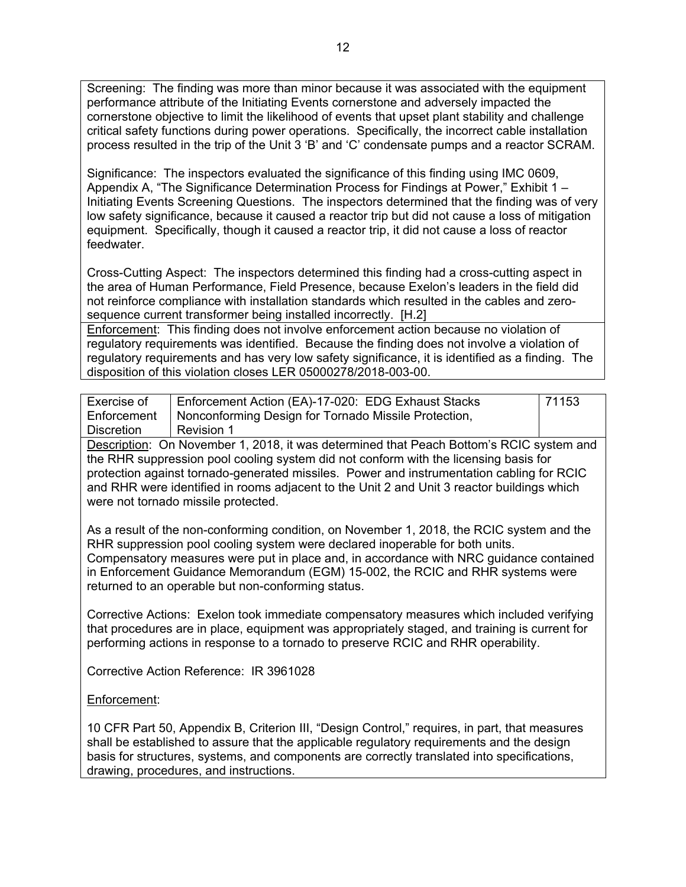Screening: The finding was more than minor because it was associated with the equipment performance attribute of the Initiating Events cornerstone and adversely impacted the cornerstone objective to limit the likelihood of events that upset plant stability and challenge critical safety functions during power operations. Specifically, the incorrect cable installation process resulted in the trip of the Unit 3 'B' and 'C' condensate pumps and a reactor SCRAM.

Significance: The inspectors evaluated the significance of this finding using IMC 0609, Appendix A, "The Significance Determination Process for Findings at Power," Exhibit 1 – Initiating Events Screening Questions. The inspectors determined that the finding was of very low safety significance, because it caused a reactor trip but did not cause a loss of mitigation equipment. Specifically, though it caused a reactor trip, it did not cause a loss of reactor feedwater.

Cross-Cutting Aspect: The inspectors determined this finding had a cross-cutting aspect in the area of Human Performance, Field Presence, because Exelon's leaders in the field did not reinforce compliance with installation standards which resulted in the cables and zerosequence current transformer being installed incorrectly. [H.2]

Enforcement:This finding does not involve enforcement action because no violation of regulatory requirements was identified. Because the finding does not involve a violation of regulatory requirements and has very low safety significance, it is identified as a finding. The disposition of this violation closes LER 05000278/2018-003-00.

| Exercise of                                                                               | Enforcement Action (EA)-17-020: EDG Exhaust Stacks   | 71153 |
|-------------------------------------------------------------------------------------------|------------------------------------------------------|-------|
| Enforcement                                                                               | Nonconforming Design for Tornado Missile Protection, |       |
| Discretion                                                                                | Revision 1                                           |       |
| Descriptions On Nancola and DOAD House defensive differing to Delivering DOIO conferenced |                                                      |       |

Description: On November 1, 2018, it was determined that Peach Bottom's RCIC system and the RHR suppression pool cooling system did not conform with the licensing basis for protection against tornado-generated missiles. Power and instrumentation cabling for RCIC and RHR were identified in rooms adjacent to the Unit 2 and Unit 3 reactor buildings which were not tornado missile protected.

As a result of the non-conforming condition, on November 1, 2018, the RCIC system and the RHR suppression pool cooling system were declared inoperable for both units. Compensatory measures were put in place and, in accordance with NRC guidance contained in Enforcement Guidance Memorandum (EGM) 15-002, the RCIC and RHR systems were returned to an operable but non-conforming status.

Corrective Actions: Exelon took immediate compensatory measures which included verifying that procedures are in place, equipment was appropriately staged, and training is current for performing actions in response to a tornado to preserve RCIC and RHR operability.

Corrective Action Reference: IR 3961028

# Enforcement:

10 CFR Part 50, Appendix B, Criterion III, "Design Control," requires, in part, that measures shall be established to assure that the applicable regulatory requirements and the design basis for structures, systems, and components are correctly translated into specifications, drawing, procedures, and instructions.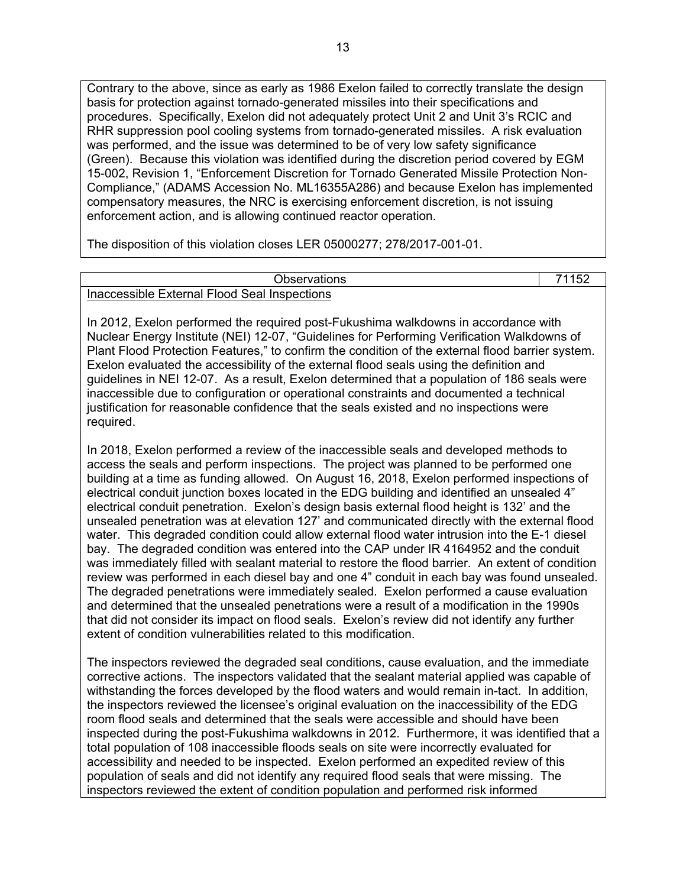Contrary to the above, since as early as 1986 Exelon failed to correctly translate the design basis for protection against tornado-generated missiles into their specifications and procedures. Specifically, Exelon did not adequately protect Unit 2 and Unit 3's RCIC and RHR suppression pool cooling systems from tornado-generated missiles. A risk evaluation was performed, and the issue was determined to be of very low safety significance (Green). Because this violation was identified during the discretion period covered by EGM 15-002, Revision 1, "Enforcement Discretion for Tornado Generated Missile Protection Non-Compliance," (ADAMS Accession No. ML16355A286) and because Exelon has implemented compensatory measures, the NRC is exercising enforcement discretion, is not issuing enforcement action, and is allowing continued reactor operation.

The disposition of this violation closes LER 05000277; 278/2017-001-01.

| 'vatıons                                                |  |
|---------------------------------------------------------|--|
| External<br>Inspections<br>Inaccessible<br>. Flood Seal |  |

In 2012, Exelon performed the required post-Fukushima walkdowns in accordance with Nuclear Energy Institute (NEI) 12-07, "Guidelines for Performing Verification Walkdowns of Plant Flood Protection Features," to confirm the condition of the external flood barrier system. Exelon evaluated the accessibility of the external flood seals using the definition and guidelines in NEI 12-07. As a result, Exelon determined that a population of 186 seals were inaccessible due to configuration or operational constraints and documented a technical justification for reasonable confidence that the seals existed and no inspections were required.

In 2018, Exelon performed a review of the inaccessible seals and developed methods to access the seals and perform inspections. The project was planned to be performed one building at a time as funding allowed. On August 16, 2018, Exelon performed inspections of electrical conduit junction boxes located in the EDG building and identified an unsealed 4" electrical conduit penetration. Exelon's design basis external flood height is 132' and the unsealed penetration was at elevation 127' and communicated directly with the external flood water. This degraded condition could allow external flood water intrusion into the E-1 diesel bay. The degraded condition was entered into the CAP under IR 4164952 and the conduit was immediately filled with sealant material to restore the flood barrier. An extent of condition review was performed in each diesel bay and one 4" conduit in each bay was found unsealed. The degraded penetrations were immediately sealed. Exelon performed a cause evaluation and determined that the unsealed penetrations were a result of a modification in the 1990s that did not consider its impact on flood seals. Exelon's review did not identify any further extent of condition vulnerabilities related to this modification.

The inspectors reviewed the degraded seal conditions, cause evaluation, and the immediate corrective actions. The inspectors validated that the sealant material applied was capable of withstanding the forces developed by the flood waters and would remain in-tact. In addition, the inspectors reviewed the licensee's original evaluation on the inaccessibility of the EDG room flood seals and determined that the seals were accessible and should have been inspected during the post-Fukushima walkdowns in 2012. Furthermore, it was identified that a total population of 108 inaccessible floods seals on site were incorrectly evaluated for accessibility and needed to be inspected. Exelon performed an expedited review of this population of seals and did not identify any required flood seals that were missing. The inspectors reviewed the extent of condition population and performed risk informed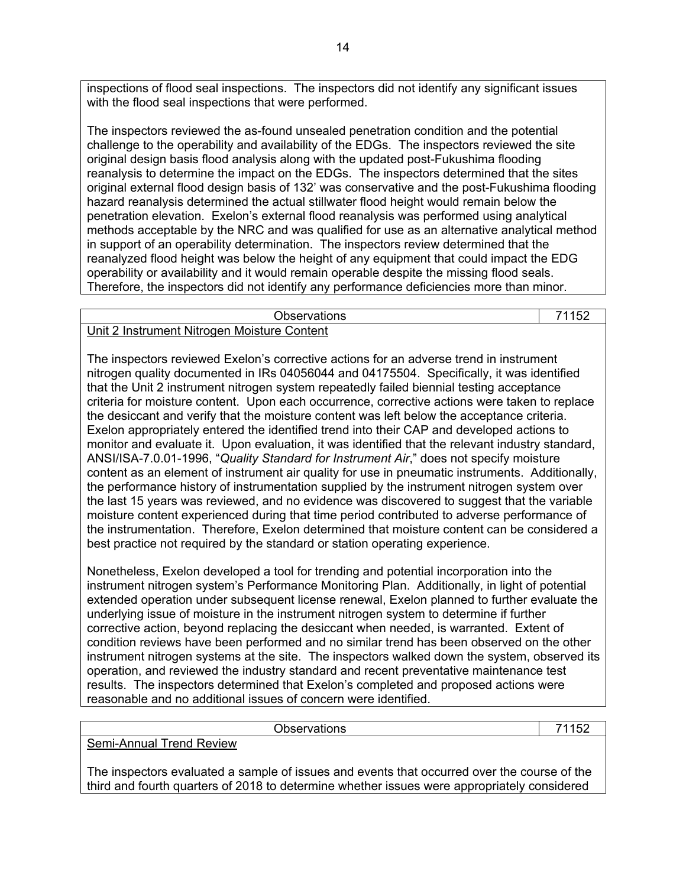inspections of flood seal inspections. The inspectors did not identify any significant issues with the flood seal inspections that were performed.

The inspectors reviewed the as-found unsealed penetration condition and the potential challenge to the operability and availability of the EDGs. The inspectors reviewed the site original design basis flood analysis along with the updated post-Fukushima flooding reanalysis to determine the impact on the EDGs. The inspectors determined that the sites original external flood design basis of 132' was conservative and the post-Fukushima flooding hazard reanalysis determined the actual stillwater flood height would remain below the penetration elevation. Exelon's external flood reanalysis was performed using analytical methods acceptable by the NRC and was qualified for use as an alternative analytical method in support of an operability determination. The inspectors review determined that the reanalyzed flood height was below the height of any equipment that could impact the EDG operability or availability and it would remain operable despite the missing flood seals. Therefore, the inspectors did not identify any performance deficiencies more than minor.

| Observations                                |  |
|---------------------------------------------|--|
| Unit 2 Instrument Nitrogen Moisture Content |  |

The inspectors reviewed Exelon's corrective actions for an adverse trend in instrument nitrogen quality documented in IRs 04056044 and 04175504. Specifically, it was identified that the Unit 2 instrument nitrogen system repeatedly failed biennial testing acceptance criteria for moisture content. Upon each occurrence, corrective actions were taken to replace the desiccant and verify that the moisture content was left below the acceptance criteria. Exelon appropriately entered the identified trend into their CAP and developed actions to monitor and evaluate it. Upon evaluation, it was identified that the relevant industry standard, ANSI/ISA-7.0.01-1996, "*Quality Standard for Instrument Air*," does not specify moisture content as an element of instrument air quality for use in pneumatic instruments. Additionally, the performance history of instrumentation supplied by the instrument nitrogen system over the last 15 years was reviewed, and no evidence was discovered to suggest that the variable moisture content experienced during that time period contributed to adverse performance of the instrumentation. Therefore, Exelon determined that moisture content can be considered a best practice not required by the standard or station operating experience.

Nonetheless, Exelon developed a tool for trending and potential incorporation into the instrument nitrogen system's Performance Monitoring Plan. Additionally, in light of potential extended operation under subsequent license renewal, Exelon planned to further evaluate the underlying issue of moisture in the instrument nitrogen system to determine if further corrective action, beyond replacing the desiccant when needed, is warranted. Extent of condition reviews have been performed and no similar trend has been observed on the other instrument nitrogen systems at the site. The inspectors walked down the system, observed its operation, and reviewed the industry standard and recent preventative maintenance test results. The inspectors determined that Exelon's completed and proposed actions were reasonable and no additional issues of concern were identified.

| <b>Observations</b>                                                                                                                                                                        | 71152 |
|--------------------------------------------------------------------------------------------------------------------------------------------------------------------------------------------|-------|
| Semi-Annual Trend Review                                                                                                                                                                   |       |
| The inspectors evaluated a sample of issues and events that occurred over the course of the<br>third and fourth quarters of 2018 to determine whether issues were appropriately considered |       |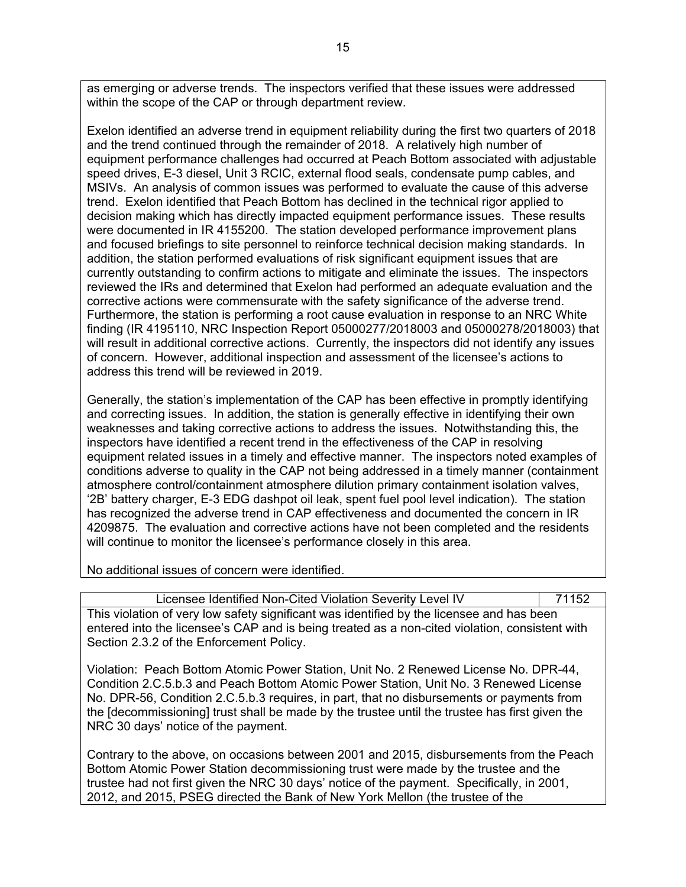as emerging or adverse trends. The inspectors verified that these issues were addressed within the scope of the CAP or through department review.

Exelon identified an adverse trend in equipment reliability during the first two quarters of 2018 and the trend continued through the remainder of 2018. A relatively high number of equipment performance challenges had occurred at Peach Bottom associated with adjustable speed drives, E-3 diesel, Unit 3 RCIC, external flood seals, condensate pump cables, and MSIVs. An analysis of common issues was performed to evaluate the cause of this adverse trend. Exelon identified that Peach Bottom has declined in the technical rigor applied to decision making which has directly impacted equipment performance issues. These results were documented in IR 4155200. The station developed performance improvement plans and focused briefings to site personnel to reinforce technical decision making standards. In addition, the station performed evaluations of risk significant equipment issues that are currently outstanding to confirm actions to mitigate and eliminate the issues. The inspectors reviewed the IRs and determined that Exelon had performed an adequate evaluation and the corrective actions were commensurate with the safety significance of the adverse trend. Furthermore, the station is performing a root cause evaluation in response to an NRC White finding (IR 4195110, NRC Inspection Report 05000277/2018003 and 05000278/2018003) that will result in additional corrective actions. Currently, the inspectors did not identify any issues of concern. However, additional inspection and assessment of the licensee's actions to address this trend will be reviewed in 2019.

Generally, the station's implementation of the CAP has been effective in promptly identifying and correcting issues. In addition, the station is generally effective in identifying their own weaknesses and taking corrective actions to address the issues. Notwithstanding this, the inspectors have identified a recent trend in the effectiveness of the CAP in resolving equipment related issues in a timely and effective manner. The inspectors noted examples of conditions adverse to quality in the CAP not being addressed in a timely manner (containment atmosphere control/containment atmosphere dilution primary containment isolation valves, '2B' battery charger, E-3 EDG dashpot oil leak, spent fuel pool level indication). The station has recognized the adverse trend in CAP effectiveness and documented the concern in IR 4209875. The evaluation and corrective actions have not been completed and the residents will continue to monitor the licensee's performance closely in this area.

No additional issues of concern were identified.

| Licensee Identified Non-Cited Violation Severity Level IV                                      | 71152 |
|------------------------------------------------------------------------------------------------|-------|
| This violation of very low safety significant was identified by the licensee and has been      |       |
| entered into the licensee's CAP and is being treated as a non-cited violation, consistent with |       |
| Section 2.3.2 of the Enforcement Policy.                                                       |       |

Violation: Peach Bottom Atomic Power Station, Unit No. 2 Renewed License No. DPR-44, Condition 2.C.5.b.3 and Peach Bottom Atomic Power Station, Unit No. 3 Renewed License No. DPR-56, Condition 2.C.5.b.3 requires, in part, that no disbursements or payments from the [decommissioning] trust shall be made by the trustee until the trustee has first given the NRC 30 days' notice of the payment.

Contrary to the above, on occasions between 2001 and 2015, disbursements from the Peach Bottom Atomic Power Station decommissioning trust were made by the trustee and the trustee had not first given the NRC 30 days' notice of the payment. Specifically, in 2001, 2012, and 2015, PSEG directed the Bank of New York Mellon (the trustee of the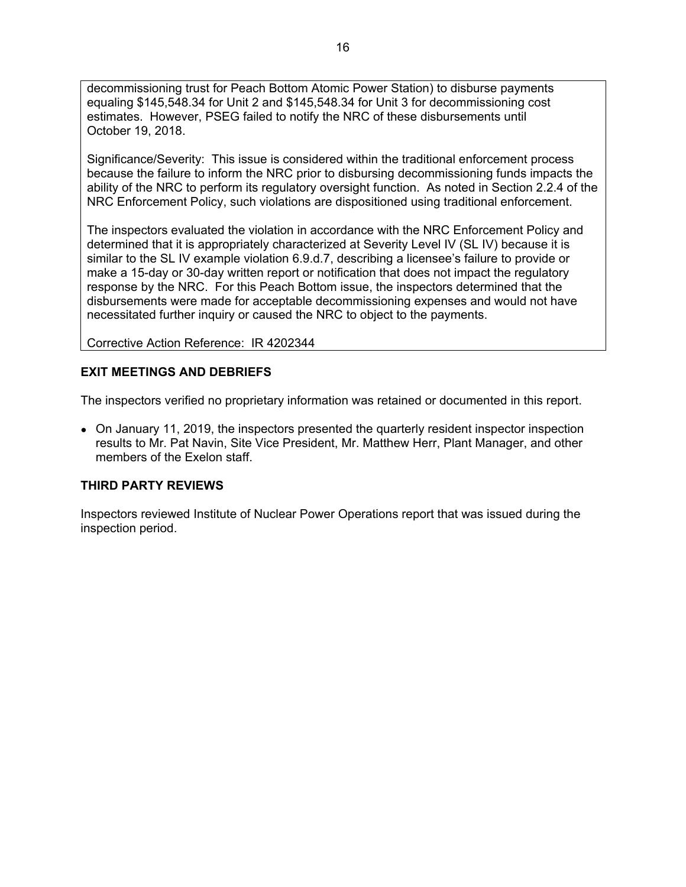decommissioning trust for Peach Bottom Atomic Power Station) to disburse payments equaling \$145,548.34 for Unit 2 and \$145,548.34 for Unit 3 for decommissioning cost estimates. However, PSEG failed to notify the NRC of these disbursements until October 19, 2018.

Significance/Severity: This issue is considered within the traditional enforcement process because the failure to inform the NRC prior to disbursing decommissioning funds impacts the ability of the NRC to perform its regulatory oversight function. As noted in Section 2.2.4 of the NRC Enforcement Policy, such violations are dispositioned using traditional enforcement.

The inspectors evaluated the violation in accordance with the NRC Enforcement Policy and determined that it is appropriately characterized at Severity Level IV (SL IV) because it is similar to the SL IV example violation 6.9.d.7, describing a licensee's failure to provide or make a 15-day or 30-day written report or notification that does not impact the regulatory response by the NRC. For this Peach Bottom issue, the inspectors determined that the disbursements were made for acceptable decommissioning expenses and would not have necessitated further inquiry or caused the NRC to object to the payments.

Corrective Action Reference: IR 4202344

# **EXIT MEETINGS AND DEBRIEFS**

The inspectors verified no proprietary information was retained or documented in this report.

• On January 11, 2019, the inspectors presented the quarterly resident inspector inspection results to Mr. Pat Navin, Site Vice President, Mr. Matthew Herr, Plant Manager, and other members of the Exelon staff.

# **THIRD PARTY REVIEWS**

Inspectors reviewed Institute of Nuclear Power Operations report that was issued during the inspection period.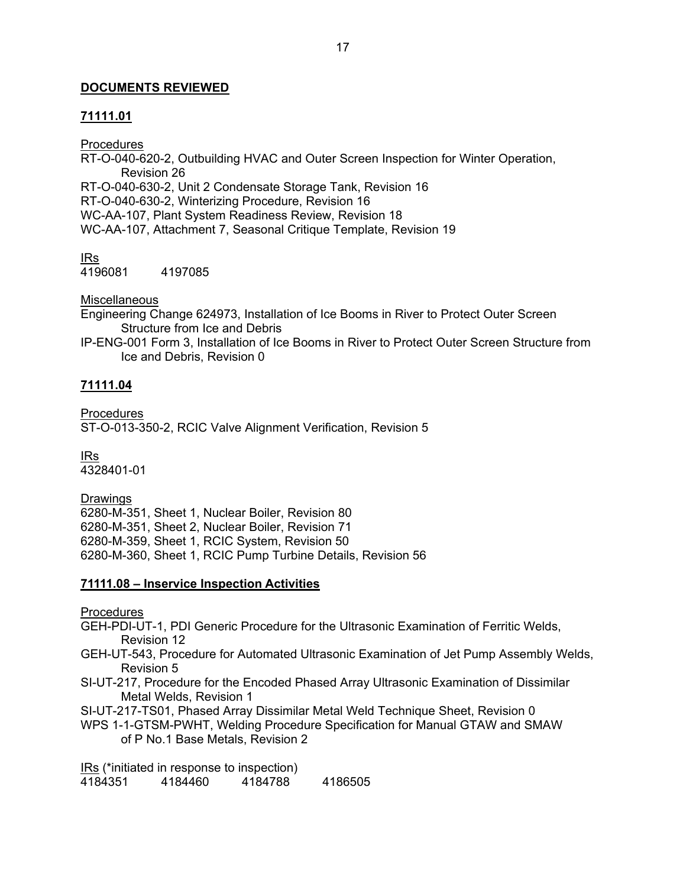# **DOCUMENTS REVIEWED**

# **71111.01**

**Procedures** 

RT-O-040-620-2, Outbuilding HVAC and Outer Screen Inspection for Winter Operation, Revision 26 RT-O-040-630-2, Unit 2 Condensate Storage Tank, Revision 16 RT-O-040-630-2, Winterizing Procedure, Revision 16 WC-AA-107, Plant System Readiness Review, Revision 18 WC-AA-107, Attachment 7, Seasonal Critique Template, Revision 19

IRs 4196081 4197085

**Miscellaneous** 

Engineering Change 624973, Installation of Ice Booms in River to Protect Outer Screen Structure from Ice and Debris

IP-ENG-001 Form 3, Installation of Ice Booms in River to Protect Outer Screen Structure from Ice and Debris, Revision 0

# **71111.04**

Procedures ST-O-013-350-2, RCIC Valve Alignment Verification, Revision 5

IRs 4328401-01

Drawings 6280-M-351, Sheet 1, Nuclear Boiler, Revision 80 6280-M-351, Sheet 2, Nuclear Boiler, Revision 71 6280-M-359, Sheet 1, RCIC System, Revision 50 6280-M-360, Sheet 1, RCIC Pump Turbine Details, Revision 56

# **71111.08 – Inservice Inspection Activities**

Procedures

GEH-PDI-UT-1, PDI Generic Procedure for the Ultrasonic Examination of Ferritic Welds, Revision 12

- GEH-UT-543, Procedure for Automated Ultrasonic Examination of Jet Pump Assembly Welds, Revision 5
- SI-UT-217, Procedure for the Encoded Phased Array Ultrasonic Examination of Dissimilar Metal Welds, Revision 1

SI-UT-217-TS01, Phased Array Dissimilar Metal Weld Technique Sheet, Revision 0

WPS 1-1-GTSM-PWHT, Welding Procedure Specification for Manual GTAW and SMAW of P No.1 Base Metals, Revision 2

IRs (\*initiated in response to inspection) 4184351 4184460 4184788 4186505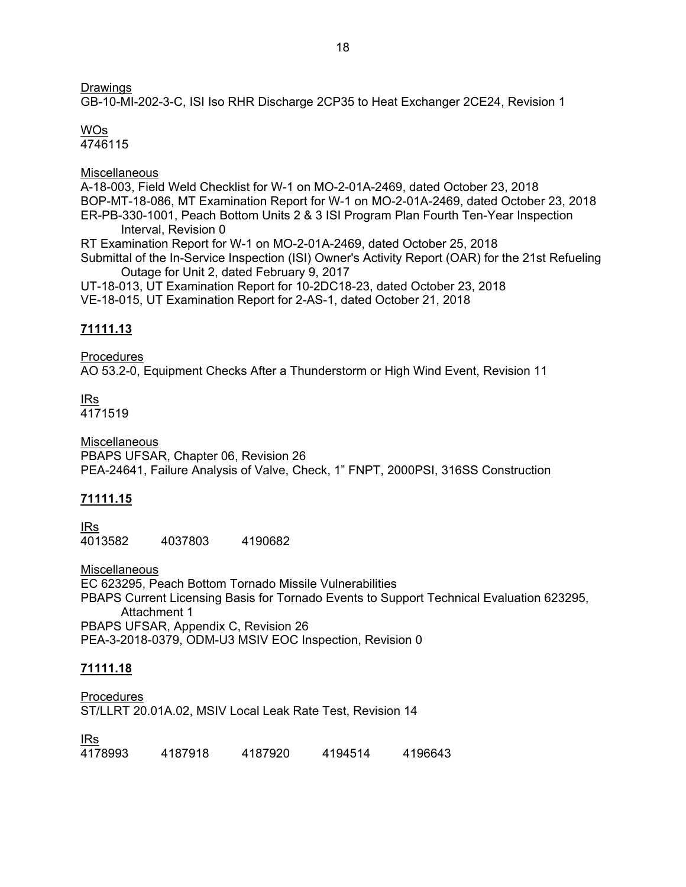# Drawings

GB-10-MI-202-3-C, ISI Iso RHR Discharge 2CP35 to Heat Exchanger 2CE24, Revision 1

# WOs

4746115

# **Miscellaneous**

A-18-003, Field Weld Checklist for W-1 on MO-2-01A-2469, dated October 23, 2018 BOP-MT-18-086, MT Examination Report for W-1 on MO-2-01A-2469, dated October 23, 2018 ER-PB-330-1001, Peach Bottom Units 2 & 3 ISI Program Plan Fourth Ten-Year Inspection Interval, Revision 0

RT Examination Report for W-1 on MO-2-01A-2469, dated October 25, 2018 Submittal of the In-Service Inspection (ISI) Owner's Activity Report (OAR) for the 21st Refueling Outage for Unit 2, dated February 9, 2017

UT-18-013, UT Examination Report for 10-2DC18-23, dated October 23, 2018 VE-18-015, UT Examination Report for 2-AS-1, dated October 21, 2018

# **71111.13**

Procedures AO 53.2-0, Equipment Checks After a Thunderstorm or High Wind Event, Revision 11

IRs 4171519

Miscellaneous PBAPS UFSAR, Chapter 06, Revision 26 PEA-24641, Failure Analysis of Valve, Check, 1" FNPT, 2000PSI, 316SS Construction

# **71111.15**

IRs 4013582 4037803 4190682

**Miscellaneous** EC 623295, Peach Bottom Tornado Missile Vulnerabilities PBAPS Current Licensing Basis for Tornado Events to Support Technical Evaluation 623295, Attachment 1 PBAPS UFSAR, Appendix C, Revision 26 PEA-3-2018-0379, ODM-U3 MSIV EOC Inspection, Revision 0

# **71111.18**

Procedures ST/LLRT 20.01A.02, MSIV Local Leak Rate Test, Revision 14

<u>IRs</u><br>4178993 4178993 4187918 4187920 4194514 4196643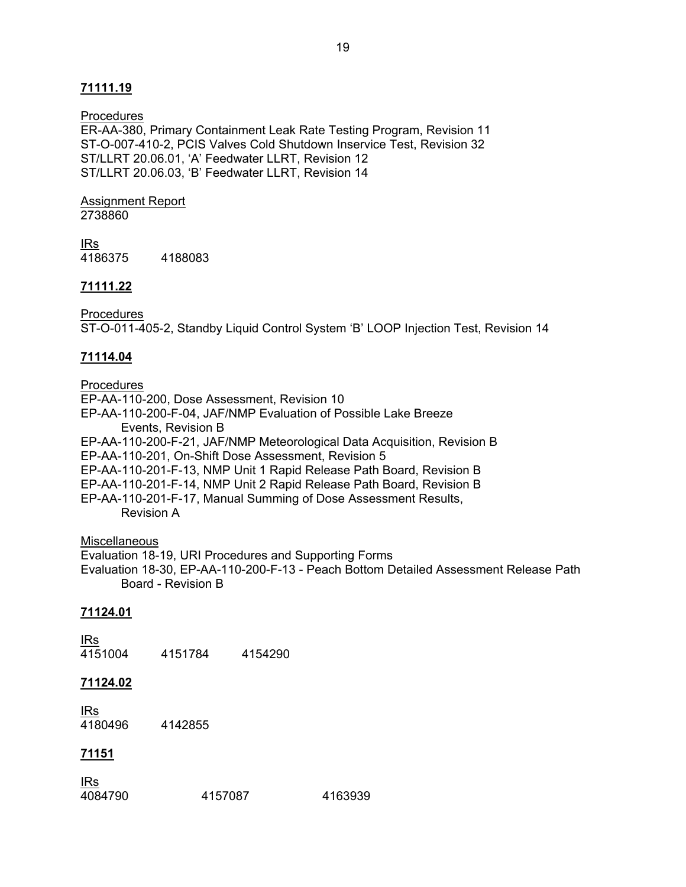# **71111.19**

#### **Procedures**

ER-AA-380, Primary Containment Leak Rate Testing Program, Revision 11 ST-O-007-410-2, PCIS Valves Cold Shutdown Inservice Test, Revision 32 ST/LLRT 20.06.01, 'A' Feedwater LLRT, Revision 12 ST/LLRT 20.06.03, 'B' Feedwater LLRT, Revision 14

# Assignment Report

2738860

IRs 4186375 4188083

### **71111.22**

**Procedures** 

ST-O-011-405-2, Standby Liquid Control System 'B' LOOP Injection Test, Revision 14

# **71114.04**

**Procedures** EP-AA-110-200, Dose Assessment, Revision 10 EP-AA-110-200-F-04, JAF/NMP Evaluation of Possible Lake Breeze Events, Revision B EP-AA-110-200-F-21, JAF/NMP Meteorological Data Acquisition, Revision B EP-AA-110-201, On-Shift Dose Assessment, Revision 5 EP-AA-110-201-F-13, NMP Unit 1 Rapid Release Path Board, Revision B EP-AA-110-201-F-14, NMP Unit 2 Rapid Release Path Board, Revision B EP-AA-110-201-F-17, Manual Summing of Dose Assessment Results,

Revision A

#### **Miscellaneous**

Evaluation 18-19, URI Procedures and Supporting Forms Evaluation 18-30, EP-AA-110-200-F-13 - Peach Bottom Detailed Assessment Release Path Board - Revision B

# **71124.01**

<u>IRs</u><br>4151004 4151784 4154290

#### **71124.02**

<u>IRs</u><br>4180496 4142855

#### **71151**

| <b>IRs</b> |         |         |
|------------|---------|---------|
| 4084790    | 4157087 | 4163939 |